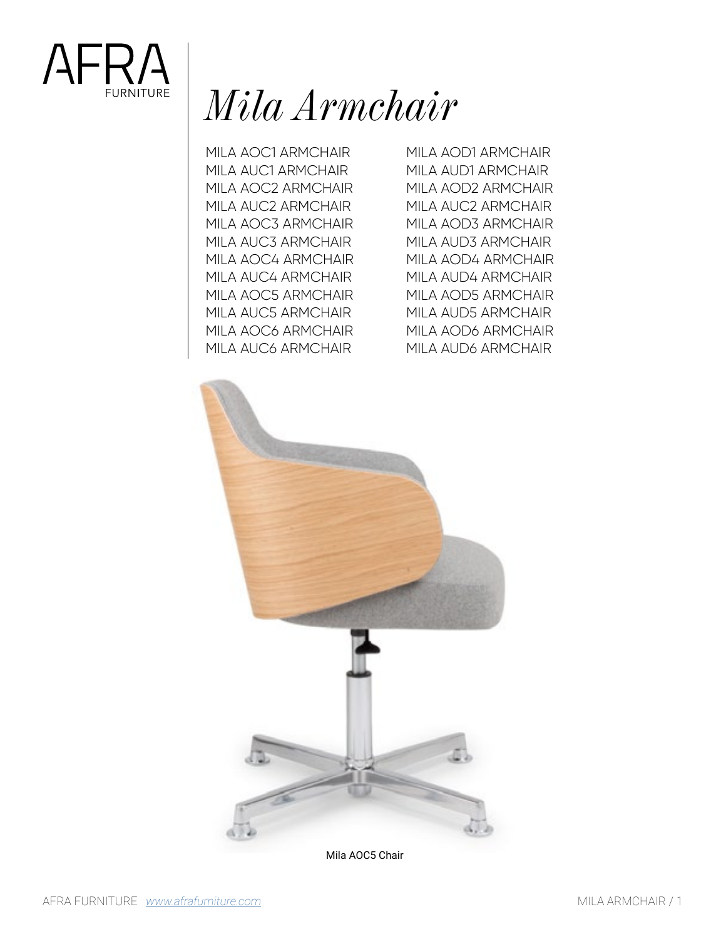

# *Mila Armchair*

MILA AOC1 ARMCHAIR MILA AUC1 ARMCHAIR MILA AOC2 ARMCHAIR MILA AUC2 ARMCHAIR MILA AOC3 ARMCHAIR MILA AUC3 ARMCHAIR MILA AOC4 ARMCHAIR MILA AUC4 ARMCHAIR MILA AOC5 ARMCHAIR MILA AUC5 ARMCHAIR MILA AOC6 ARMCHAIR MILA AUC6 ARMCHAIR

MILA AOD1 ARMCHAIR MILA AUD1 ARMCHAIR MILA AOD2 ARMCHAIR MILA AUC2 ARMCHAIR MILA AOD3 ARMCHAIR MILA AUD3 ARMCHAIR MILA AOD4 ARMCHAIR MILA AUD4 ARMCHAIR MILA AOD5 ARMCHAIR MILA AUD5 ARMCHAIR MILA AOD6 ARMCHAIR MILA AUD6 ARMCHAIR



Mila AOC5 Chair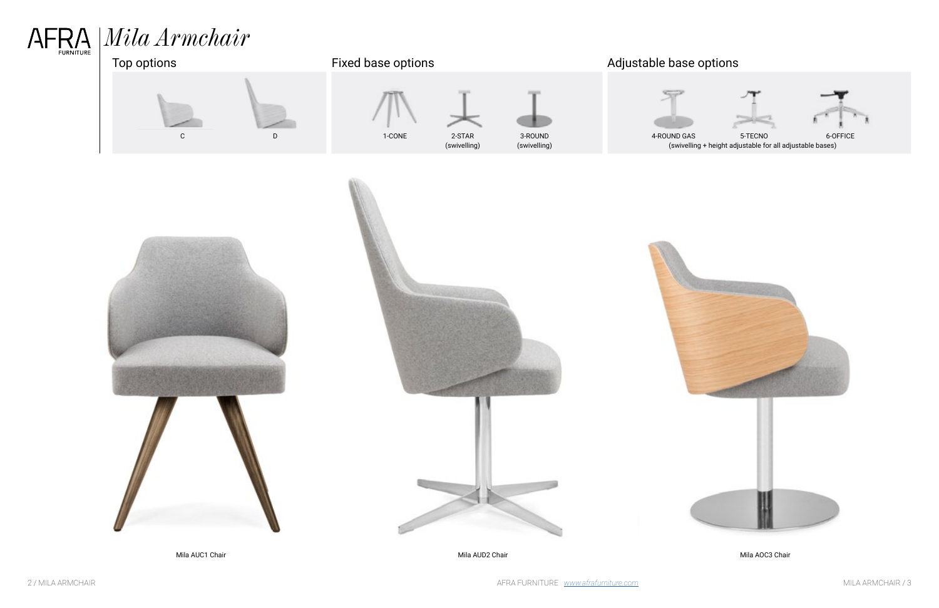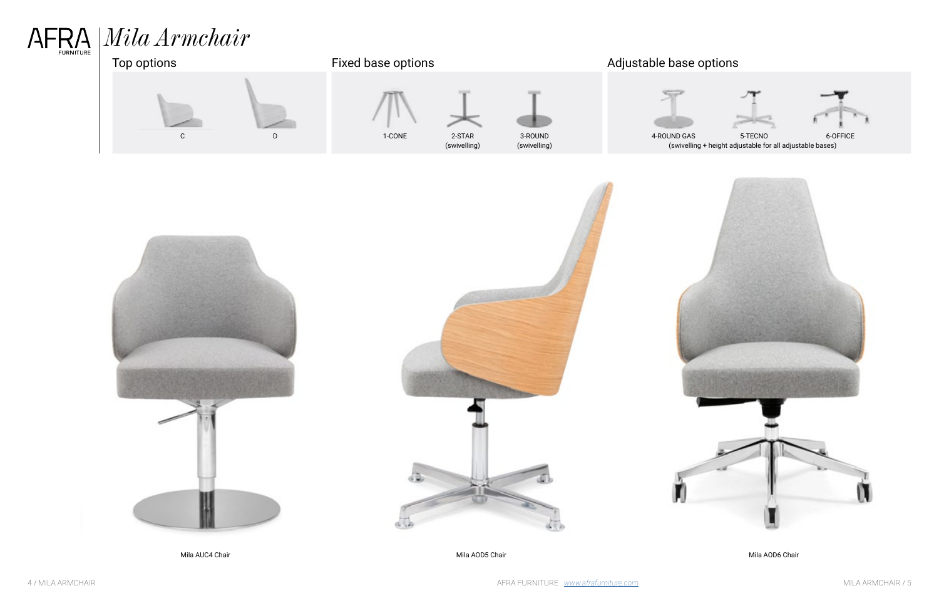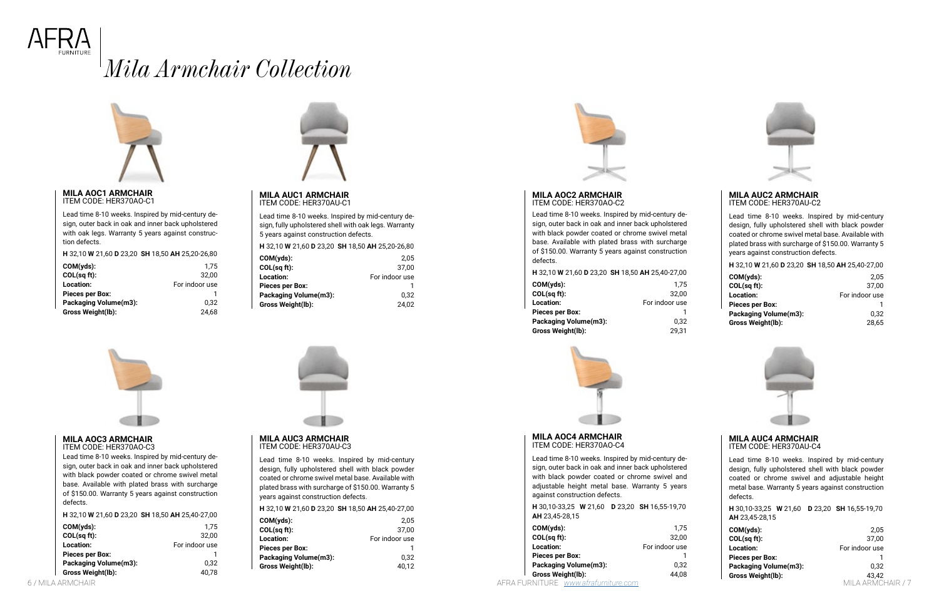6 / MILA ARMCHAIR AFRA FURNITURE *<www.afrafurniture.com>* MILA ARMCHAIR / 7





# *Mila Armchair Collection*



#### **MILA AUC1 ARMCHAIR** ITEM CODE: HER370AU-C1

Lead time 8-10 weeks. Inspired by mid-century design, fully upholstered shell with oak legs. Warranty 5 years against construction defects.

#### **H** 32,10 **W** 21,60 **D** 23,20 **SH** 18,50 **AH** 25,20-26,80

| 2.05           |
|----------------|
| 37.00          |
| For indoor use |
|                |
| 0.32           |
| 24,02          |
|                |



**MILA AOC1 ARMCHAIR** ITEM CODE: HER370AO-C1

Lead time 8-10 weeks. Inspired by mid-century design, outer back in oak and inner back upholstered with oak legs. Warranty 5 years against construction defects.

**H** 32,10 **W** 21,60 **D** 23,20 **SH** 18,50 **AH** 25,20-26,80

| $COM(yds)$ :           | 1.75           |
|------------------------|----------------|
| COL(sq ft):            | 32,00          |
| Location:              | For indoor use |
| <b>Pieces per Box:</b> |                |
| Packaging Volume(m3):  | 0.32           |
| Gross Weight(lb):      | 24.68          |



#### **MILA AOC2 ARMCHAIR** ITEM CODE: HER370AO-C2

Lead time 8-10 weeks. Inspired by mid-century design, outer back in oak and inner back upholstered with black powder coated or chrome swivel metal base. Available with plated brass with surcharge of \$150.00. Warranty 5 years against construction defects.

#### **H** 32,10 **W** 21,60 **D** 23,20 **SH** 18,50 **AH** 25,40-27,00

| COM(yds):             | 1.75           |
|-----------------------|----------------|
| COL(sq ft):           | 32,00          |
| Location:             | For indoor use |
| Pieces per Box:       |                |
| Packaging Volume(m3): | 0.32           |
| Gross Weight(lb):     | 29,31          |



#### **MILA AUC2 ARMCHAIR** ITEM CODE: HER370AU-C2

Lead time 8-10 weeks. Inspired by mid-century design, fully upholstered shell with black powder coated or chrome swivel metal base. Available with plated brass with surcharge of \$150.00. Warranty 5 years against construction defects.

**H** 32,10 **W** 21,60 **D** 23,20 **SH** 18,50 **AH** 25,40-27,00 **COM(yds):** 2,05 **COL(sq ft):** 37,00 **Location:** For indoor use Pieces per Box: 1 Packaging Volume(m3): 0,32 **Gross Weight(lb):** 28,65



#### **MILA AUC3 ARMCHAIR** ITEM CODE: HER370AU-C3

Lead time 8-10 weeks. Inspired by mid-century design, fully upholstered shell with black powder coated or chrome swivel metal base. Available with plated brass with surcharge of \$150.00. Warranty 5 years against construction defects.

#### **H** 32,10 **W** 21,60 **D** 23,20 **SH** 18,50 **AH** 25,40-27,00

| COM(yds):             | 2.05           |
|-----------------------|----------------|
| COL(sq ft):           | 37,00          |
| Location:             | For indoor use |
| Pieces per Box:       |                |
| Packaging Volume(m3): | 0.32           |
| Gross Weight(lb):     | 40.12          |
|                       |                |



#### **MILA AOC3 ARMCHAIR** ITEM CODE: HER370AO-C3

Lead time 8-10 weeks. Inspired by mid-century design, outer back in oak and inner back upholstered with black powder coated or chrome swivel metal base. Available with plated brass with surcharge of \$150.00. Warranty 5 years against construction defects.

**H** 32,10 **W** 21,60 **D** 23,20 **SH** 18,50 **AH** 25,40-27,00

| $COM(yds)$ :           | 1.75           |
|------------------------|----------------|
| COL(sq ft):            | 32.00          |
| Location:              | For indoor use |
| <b>Pieces per Box:</b> |                |
| Packaging Volume(m3):  | 0.32           |
| Gross Weight(lb):      | 40.78          |



#### **MILA AUC4 ARMCHAIR** ITEM CODE: HER370AU-C4

Lead time 8-10 weeks. Inspired by mid-century design, fully upholstered shell with black powder coated or chrome swivel and adjustable height metal base. Warranty 5 years against construction defects.

**H** 30,10-33,25 **W** 21,60 **D** 23,20 **SH** 16,55-19,70 **AH** 23,45-28,15

| $COM(yds)$ :           | 2.05           |
|------------------------|----------------|
| COL(sq ft):            | 37,00          |
| <b>Location:</b>       | For indoor use |
| <b>Pieces per Box:</b> |                |
| Packaging Volume(m3):  | 0.32           |
| Gross Weight(lb):      | 43.42          |
|                        | ARMAHAIR       |

#### **MILA AOC4 ARMCHAIR** ITEM CODE: HER370AO-C4

Lead time 8-10 weeks. Inspired by mid-century design, outer back in oak and inner back upholstered with black powder coated or chrome swivel and adjustable height metal base. Warranty 5 years against construction defects.

|                       |  | <b>H</b> 30,10-33,25 <b>W</b> 21,60 <b>D</b> 23,20 <b>SH</b> 16,55-19,70 |
|-----------------------|--|--------------------------------------------------------------------------|
| <b>AH</b> 23,45-28,15 |  |                                                                          |

| COM(yds):             | 1.75           |
|-----------------------|----------------|
| COL(sq ft):           | 32,00          |
| Location:             | For indoor use |
| Pieces per Box:       |                |
| Packaging Volume(m3): | 0.32           |
| Gross Weight(lb):     | 44.08          |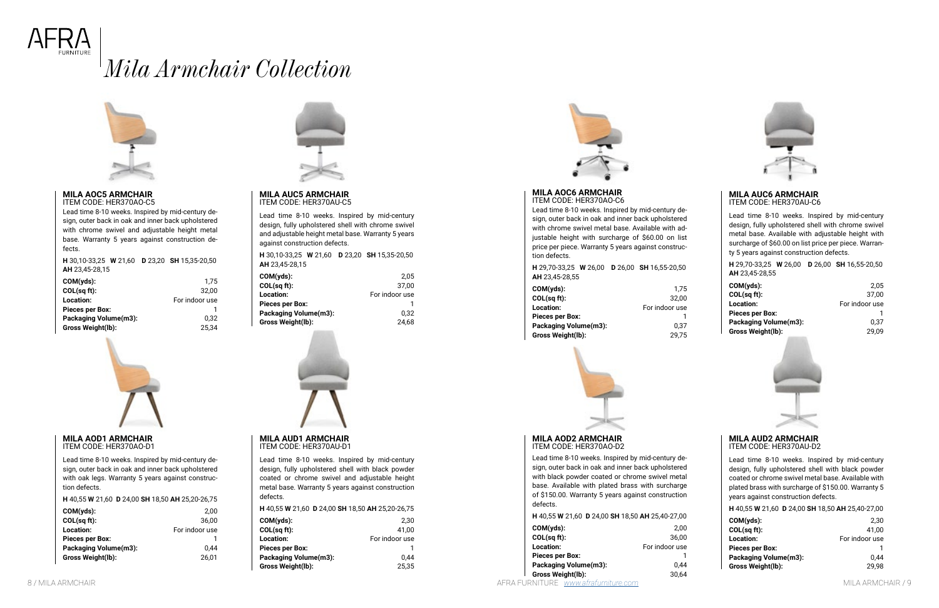

# *Mila Armchair Collection*



#### **MILA AUC5 ARMCHAIR** ITEM CODE: HER370AU-C5

Lead time 8-10 weeks. Inspired by mid-century design, fully upholstered shell with chrome swivel and adjustable height metal base. Warranty 5 years against construction defects.

| <b>H</b> 30.10-33.25 <b>W</b> 21.60 <b>D</b> 23.20 <b>SH</b> 15.35-20.50 |      |
|--------------------------------------------------------------------------|------|
| <b>AH</b> 23.45-28.15                                                    |      |
| COM(yds):                                                                | 2.05 |

|                        | - - -          |
|------------------------|----------------|
| COL(sqft):             | 37.00          |
| <b>Location:</b>       | For indoor use |
| <b>Pieces per Box:</b> |                |
| Packaging Volume(m3):  | 0.32           |
| Gross Weight(lb):      | 24.68          |



### **MILA AOC5 ARMCHAIR**

ITEM CODE: HER370AO-C5

Lead time 8-10 weeks. Inspired by mid-century design, outer back in oak and inner back upholstered with chrome swivel and adjustable height metal base. Warranty 5 years against construction defects.

**H** 30,10-33,25 **W** 21,60 **D** 23,20 **SH** 15,35-20,50 **AH** 23,45-28,15

| $COM(yds)$ :           | 1.75           |
|------------------------|----------------|
| COL(sq ft):            | 32.00          |
| Location:              | For indoor use |
| <b>Pieces per Box:</b> |                |
| Packaging Volume(m3):  | 0.32           |
| Gross Weight(lb):      | 25.34          |



#### **MILA AUC6 ARMCHAIR** ITEM CODE: HER370AU-C6

Lead time 8-10 weeks. Inspired by mid-century design, fully upholstered shell with chrome swivel metal base. Available with adjustable height with surcharge of \$60.00 on list price per piece. Warranty 5 years against construction defects.

**H** 29,70-33,25 **W** 26,00 **D** 26,00 **SH** 16,55-20,50 **AH** 23,45-28,55

| $COM(yds)$ :           | 2.05           |
|------------------------|----------------|
| COL(sq ft):            | 37.00          |
| <b>Location:</b>       | For indoor use |
| <b>Pieces per Box:</b> |                |
| Packaging Volume(m3):  | 0.37           |
| Gross Weight(lb):      | 29.09          |



#### **MILA AOC6 ARMCHAIR** ITEM CODE: HER370AO-C6

Lead time 8-10 weeks. Inspired by mid-century design, outer back in oak and inner back upholstered with chrome swivel metal base. Available with adjustable height with surcharge of \$60.00 on list price per piece. Warranty 5 years against construction defects.

| <b>H</b> 29,70-33,25 <b>W</b> 26,00 <b>D</b> 26,00 <b>SH</b> 16,55-20,50 |       |
|--------------------------------------------------------------------------|-------|
| <b>AH</b> 23.45-28.55                                                    |       |
| $COM(yds)$ :                                                             | 1.75  |
| COL(sqft):                                                               | 32.00 |

| COL(sg ft):           | 32.00          |
|-----------------------|----------------|
| Location:             | For indoor use |
| Pieces per Box:       |                |
| Packaging Volume(m3): | 0.37           |
| Gross Weight(lb):     | 29.75          |



#### **MILA AUD1 ARMCHAIR** ITEM CODE: HER370AU-D1

Lead time 8-10 weeks. Inspired by mid-century design, fully upholstered shell with black powder coated or chrome swivel and adjustable height metal base. Warranty 5 years against construction defects.

| H 40,55 W 21,60 D 24,00 SH 18,50 AH 25,20-26,75 |                |
|-------------------------------------------------|----------------|
| COM(yds):<br>COL(sq ft):                        | 2.30<br>41.00  |
| Location:<br>Pieces per Box:                    | For indoor use |
| Packaging Volume(m3):                           | 0.44           |
| Gross Weight(lb):                               | 25.35          |



#### **MILA AOD1 ARMCHAIR** ITEM CODE: HER370AO-D1

Lead time 8-10 weeks. Inspired by mid-century design, outer back in oak and inner back upholstered with oak legs. Warranty 5 years against construction defects.

**H** 40,55 **W** 21,60 **D** 24,00 **SH** 18,50 **AH** 25,20-26,75

| 2.00           |
|----------------|
| 36.00          |
| For indoor use |
|                |
| 0.44           |
| 26.01          |
|                |



#### **MILA AUD2 ARMCHAIR** ITEM CODE: HER370AU-D2

Lead time 8-10 weeks. Inspired by mid-century design, fully upholstered shell with black powder coated or chrome swivel metal base. Available with plated brass with surcharge of \$150.00. Warranty 5 years against construction defects.

| H 40,55 W 21,60 D 24,00 SH 18,50 AH 25,40-27,00 |                |
|-------------------------------------------------|----------------|
| $COM(yds)$ :                                    | 2.30           |
| COL(sq ft):                                     | 41.00          |
| <b>Location:</b>                                | For indoor use |
| <b>Pieces per Box:</b>                          |                |
| Packaging Volume(m3):                           | 0.44           |
| Gross Weight(lb):                               | 29,98          |

#### **MILA AOD2 ARMCHAIR** ITEM CODE: HER370AO-D2

Lead time 8-10 weeks. Inspired by mid-century design, outer back in oak and inner back upholstered with black powder coated or chrome swivel metal base. Available with plated brass with surcharge of \$150.00. Warranty 5 years against construction defects.

#### **H** 40,55 **W** 21,60 **D** 24,00 **SH** 18,50 **AH** 25,40-27,00

| COM(yds):             | 2.00           |
|-----------------------|----------------|
| COL(sq ft):           | 36.00          |
| Location:             | For indoor use |
| Pieces per Box:       |                |
| Packaging Volume(m3): | 0.44           |
| Gross Weight(lb):     | 30.64          |
|                       |                |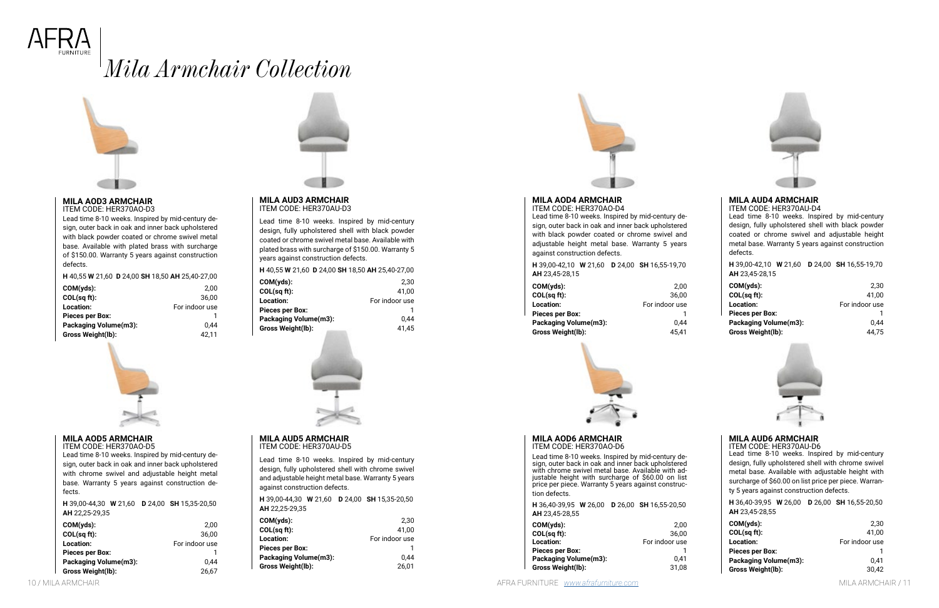



# *Mila Armchair Collection*



#### **MILA AUD3 ARMCHAIR** ITEM CODE: HER370AU-D3

**H** 40,55 **W** 21,60 **D** 24,00 **SH** 18,50 **AH** 25,40-27,00 **COM(yds):** 2,30  $COI$  (sq ft):

Lead time 8-10 weeks. Inspired by mid-century design, fully upholstered shell with black powder coated or chrome swivel metal base. Available with plated brass with surcharge of \$150.00. Warranty 5 years against construction defects.

| UULI 54 I UJ.         | 41.UU          |
|-----------------------|----------------|
| Location:             | For indoor use |
| Pieces per Box:       |                |
| Packaging Volume(m3): | 0.44           |
| Gross Weight(lb):     | 41.45          |
|                       |                |



#### **MILA AOD3 ARMCHAIR** ITEM CODE: HER370AO-D3

Lead time 8-10 weeks. Inspired by mid-century design, outer back in oak and inner back upholstered with black powder coated or chrome swivel metal base. Available with plated brass with surcharge of \$150.00. Warranty 5 years against construction defects.

**H** 40,55 **W** 21,60 **D** 24,00 **SH** 18,50 **AH** 25,40-27,00

| $COM(yds)$ :           | 2.00           |
|------------------------|----------------|
| COL(sq ft):            | 36.00          |
| Location:              | For indoor use |
| <b>Pieces per Box:</b> |                |
| Packaging Volume(m3):  | 0.44           |
| Gross Weight(lb):      | 42.11          |



#### **MILA AUD5 ARMCHAIR** ITEM CODE: HER370AU-D5

Lead time 8-10 weeks. Inspired by mid-century design, fully upholstered shell with chrome swivel and adjustable height metal base. Warranty 5 years against construction defects.

| <b>H</b> 39.00-44.30 <b>W</b> 21.60<br>AH 22,25-29,35 | D 24,00 SH 15,35-20,50 |
|-------------------------------------------------------|------------------------|
| $COM(yds)$ :                                          | 2.30                   |
| COL(sq ft):                                           | 41.00                  |
| Location:                                             | For indoor use         |
| <b>Pieces per Box:</b>                                |                        |
| <b>Packaging Volume(m3):</b>                          | 0.44                   |
| Gross Weight(lb):                                     | 26.01                  |



#### **MILA AOD5 ARMCHAIR**

ITEM CODE: HER370AO-D5

Lead time 8-10 weeks. Inspired by mid-century design, outer back in oak and inner back upholstered with chrome swivel and adjustable height metal base. Warranty 5 years against construction defects.

**H** 39,00-44,30 **W** 21,60 **D** 24,00 **SH** 15,35-20,50 **AH** 22,25-29,35

Lead time 8-10 weeks. Inspired by mid-century de-<br>sign, outer back in oak and inner back upholstered<br>with chrome swivel metal base. Available with adwith chrome surfer metal base. Available with surcharge of \$60.00 on list price per piece. Warranty 5 years against construction defects.

| $COM(yds)$ :             | 2.00           |
|--------------------------|----------------|
| COL(sq ft):              | 36.00          |
| Location:                | For indoor use |
| <b>Pieces per Box:</b>   |                |
| Packaging Volume(m3):    | 0.44           |
| <b>Gross Weight(lb):</b> | 26.67          |



### **MILA AUD4 ARMCHAIR**

ITEM CODE: HER370AU-D4 Lead time 8-10 weeks. Inspired by mid-century design, fully upholstered shell with black powder coated or chrome swivel and adjustable height metal base. Warranty 5 years against construction defects.

**H** 39,00-42,10 **W** 21,60 **D** 24,00 **SH** 16,55-19,70 **AH** 23,45-28,15

| $COM(yds)$ :           | 2.30           |
|------------------------|----------------|
| COL(sq ft):            | 41.00          |
| <b>Location:</b>       | For indoor use |
| <b>Pieces per Box:</b> |                |
| Packaging Volume(m3):  | 0.44           |
| Gross Weight(lb):      | 44.75          |



### **MILA AOD4 ARMCHAIR**

ITEM CODE: HER370AO-D4 Lead time 8-10 weeks. Inspired by mid-century design, outer back in oak and inner back upholstered with black powder coated or chrome swivel and adjustable height metal base. Warranty 5 years against construction defects.

**H** 39,00-42,10 **W** 21,60 **D** 24,00 **SH** 16,55-19,70 **AH** 23,45-28,15

| COM(yds):             | 2.00           |
|-----------------------|----------------|
| COL(sq ft):           | 36.00          |
| Location:             | For indoor use |
| Pieces per Box:       |                |
| Packaging Volume(m3): | 0.44           |
| Gross Weight(lb):     | 45.41          |



#### **MILA AUD6 ARMCHAIR**

ITEM CODE: HER370AU-D6 Lead time 8-10 weeks. Inspired by mid-century design, fully upholstered shell with chrome swivel metal base. Available with adjustable height with surcharge of \$60.00 on list price per piece. Warranty 5 years against construction defects.

**H** 36,40-39,95 **W** 26,00 **D** 26,00 **SH** 16,55-20,50 **AH** 23,45-28,55

| $COM(yds)$ :             | 2.30           |
|--------------------------|----------------|
| COL(sq ft):              | 41.00          |
| Location:                | For indoor use |
| <b>Pieces per Box:</b>   |                |
| Packaging Volume(m3):    | 0.41           |
| <b>Gross Weight(Ib):</b> | 30.42          |
|                          |                |

#### **MILA AOD6 ARMCHAIR** ITEM CODE: HER370AO-D6

|                       |  | <b>H</b> 36,40-39,95 <b>W</b> 26,00 <b>D</b> 26,00 <b>SH</b> 16,55-20,50 |
|-----------------------|--|--------------------------------------------------------------------------|
| <b>AH</b> 23,45-28,55 |  |                                                                          |

| COM(vds):             | 2.00           |
|-----------------------|----------------|
| COL(sq ft):           | 36.00          |
| Location:             | For indoor use |
| Pieces per Box:       |                |
| Packaging Volume(m3): | 0.41           |
| Gross Weight(lb):     | 31.08          |